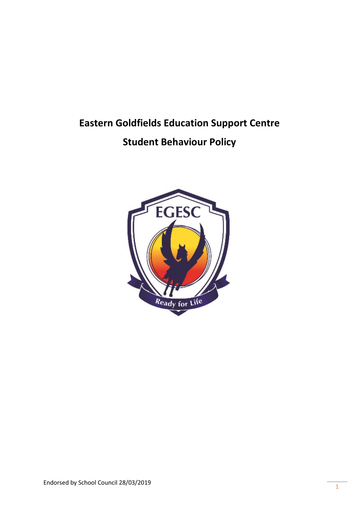# **Eastern Goldfields Education Support Centre**

## **Student Behaviour Policy**

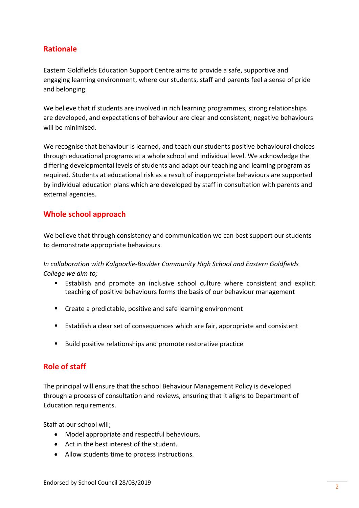## **Rationale**

Eastern Goldfields Education Support Centre aims to provide a safe, supportive and engaging learning environment, where our students, staff and parents feel a sense of pride and belonging.

We believe that if students are involved in rich learning programmes, strong relationships are developed, and expectations of behaviour are clear and consistent; negative behaviours will be minimised.

We recognise that behaviour is learned, and teach our students positive behavioural choices through educational programs at a whole school and individual level. We acknowledge the differing developmental levels of students and adapt our teaching and learning program as required. Students at educational risk as a result of inappropriate behaviours are supported by individual education plans which are developed by staff in consultation with parents and external agencies.

## **Whole school approach**

We believe that through consistency and communication we can best support our students to demonstrate appropriate behaviours.

*In collaboration with Kalgoorlie-Boulder Community High School and Eastern Goldfields College we aim to;*

- Establish and promote an inclusive school culture where consistent and explicit teaching of positive behaviours forms the basis of our behaviour management
- **EXTER** Create a predictable, positive and safe learning environment
- Establish a clear set of consequences which are fair, appropriate and consistent
- Build positive relationships and promote restorative practice

## **Role of staff**

The principal will ensure that the school Behaviour Management Policy is developed through a process of consultation and reviews, ensuring that it aligns to Department of Education requirements.

Staff at our school will;

- Model appropriate and respectful behaviours.
- Act in the best interest of the student.
- Allow students time to process instructions.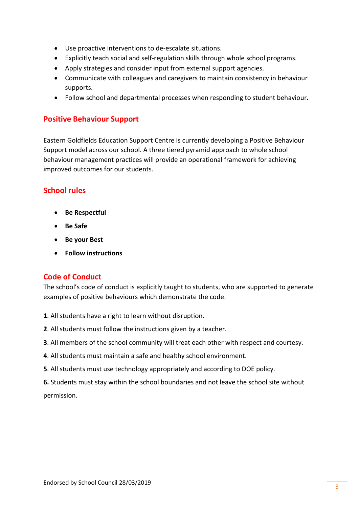- Use proactive interventions to de-escalate situations.
- Explicitly teach social and self-regulation skills through whole school programs.
- Apply strategies and consider input from external support agencies.
- Communicate with colleagues and caregivers to maintain consistency in behaviour supports.
- Follow school and departmental processes when responding to student behaviour.

#### **Positive Behaviour Support**

Eastern Goldfields Education Support Centre is currently developing a Positive Behaviour Support model across our school. A three tiered pyramid approach to whole school behaviour management practices will provide an operational framework for achieving improved outcomes for our students.

## **School rules**

- **Be Respectful**
- **Be Safe**
- **Be your Best**
- **Follow instructions**

#### **Code of Conduct**

The school's code of conduct is explicitly taught to students, who are supported to generate examples of positive behaviours which demonstrate the code.

- **1**. All students have a right to learn without disruption.
- **2**. All students must follow the instructions given by a teacher.
- **3**. All members of the school community will treat each other with respect and courtesy.
- **4**. All students must maintain a safe and healthy school environment.
- **5**. All students must use technology appropriately and according to DOE policy.
- **6.** Students must stay within the school boundaries and not leave the school site without

permission.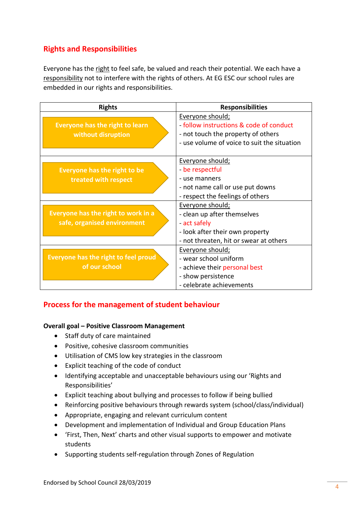## **Rights and Responsibilities**

Everyone has the right to feel safe, be valued and reach their potential. We each have a responsibility not to interfere with the rights of others. At EG ESC our school rules are embedded in our rights and responsibilities.

| <b>Rights</b>                          | <b>Responsibilities</b>                                     |
|----------------------------------------|-------------------------------------------------------------|
| <b>Everyone has the right to learn</b> | Everyone should;<br>- follow instructions & code of conduct |
| without disruption                     | - not touch the property of others                          |
|                                        | - use volume of voice to suit the situation                 |
|                                        |                                                             |
|                                        | Everyone should;                                            |
| <b>Everyone has the right to be</b>    | be respectful                                               |
| treated with respect                   | - use manners                                               |
|                                        | - not name call or use put downs                            |
|                                        | - respect the feelings of others                            |
|                                        | Everyone should;                                            |
| Everyone has the right to work in a    | - clean up after themselves                                 |
| safe, organised environment            | act safely                                                  |
|                                        | - look after their own property                             |
|                                        | - not threaten, hit or swear at others                      |
|                                        | Everyone should;                                            |
| Everyone has the right to feel proud   | - wear school uniform                                       |
| of our school                          | - achieve their personal best                               |
|                                        | - show persistence                                          |
|                                        | - celebrate achievements                                    |

## **Process for the management of student behaviour**

#### **Overall goal – Positive Classroom Management**

- Staff duty of care maintained
- Positive, cohesive classroom communities
- Utilisation of CMS low key strategies in the classroom
- Explicit teaching of the code of conduct
- Identifying acceptable and unacceptable behaviours using our 'Rights and Responsibilities'
- Explicit teaching about bullying and processes to follow if being bullied
- Reinforcing positive behaviours through rewards system (school/class/individual)
- Appropriate, engaging and relevant curriculum content
- Development and implementation of Individual and Group Education Plans
- 'First, Then, Next' charts and other visual supports to empower and motivate students
- Supporting students self-regulation through Zones of Regulation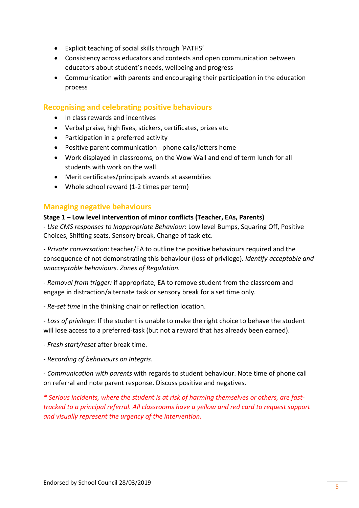- Explicit teaching of social skills through 'PATHS'
- Consistency across educators and contexts and open communication between educators about student's needs, wellbeing and progress
- Communication with parents and encouraging their participation in the education process

## **Recognising and celebrating positive behaviours**

- In class rewards and incentives
- Verbal praise, high fives, stickers, certificates, prizes etc
- Participation in a preferred activity
- Positive parent communication phone calls/letters home
- Work displayed in classrooms, on the Wow Wall and end of term lunch for all students with work on the wall.
- Merit certificates/principals awards at assemblies
- Whole school reward (1-2 times per term)

## **Managing negative behaviours**

#### **Stage 1 – Low level intervention of minor conflicts (Teacher, EAs, Parents)**

- *Use CMS responses to Inappropriate Behaviour*: Low level Bumps, Squaring Off, Positive Choices, Shifting seats, Sensory break, Change of task etc.

- *Private conversation*: teacher/EA to outline the positive behaviours required and the consequence of not demonstrating this behaviour (loss of privilege). *Identify acceptable and unacceptable behaviours*. *Zones of Regulation.*

- *Removal from trigger:* if appropriate, EA to remove student from the classroom and engage in distraction/alternate task or sensory break for a set time only.

- *Re-set time* in the thinking chair or reflection location.

*- Loss of privilege*: If the student is unable to make the right choice to behave the student will lose access to a preferred-task (but not a reward that has already been earned).

- *Fresh start/reset* after break time.

- *Recording of behaviours on Integris*.

- *Communication with parents* with regards to student behaviour. Note time of phone call on referral and note parent response. Discuss positive and negatives.

*\* Serious incidents, where the student is at risk of harming themselves or others, are fasttracked to a principal referral. All classrooms have a yellow and red card to request support and visually represent the urgency of the intervention.*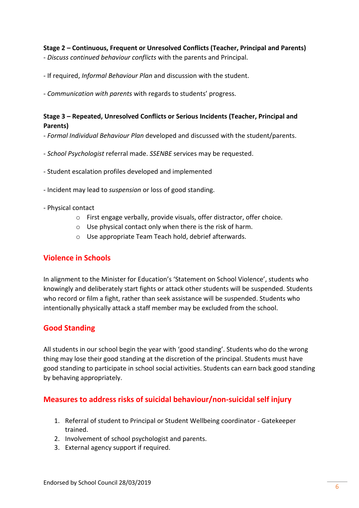#### **Stage 2 – Continuous, Frequent or Unresolved Conflicts (Teacher, Principal and Parents)**

- *Discuss continued behaviour conflicts* with the parents and Principal.
- If required, *Informal Behaviour Plan* and discussion with the student.
- *Communication with parents* with regards to students' progress.

#### **Stage 3 – Repeated, Unresolved Conflicts or Serious Incidents (Teacher, Principal and Parents)**

- *Formal Individual Behaviour Plan* developed and discussed with the student/parents.
- *School Psychologist* referral made. *SSENBE* services may be requested.
- Student escalation profiles developed and implemented
- Incident may lead to *suspension* or loss of good standing.
- Physical contact
	- o First engage verbally, provide visuals, offer distractor, offer choice.
	- o Use physical contact only when there is the risk of harm.
	- o Use appropriate Team Teach hold, debrief afterwards.

## **Violence in Schools**

In alignment to the Minister for Education's 'Statement on School Violence', students who knowingly and deliberately start fights or attack other students will be suspended. Students who record or film a fight, rather than seek assistance will be suspended. Students who intentionally physically attack a staff member may be excluded from the school.

## **Good Standing**

All students in our school begin the year with 'good standing'. Students who do the wrong thing may lose their good standing at the discretion of the principal. Students must have good standing to participate in school social activities. Students can earn back good standing by behaving appropriately.

## **Measures to address risks of suicidal behaviour/non-suicidal self injury**

- 1. Referral of student to Principal or Student Wellbeing coordinator Gatekeeper trained.
- 2. Involvement of school psychologist and parents.
- 3. External agency support if required.